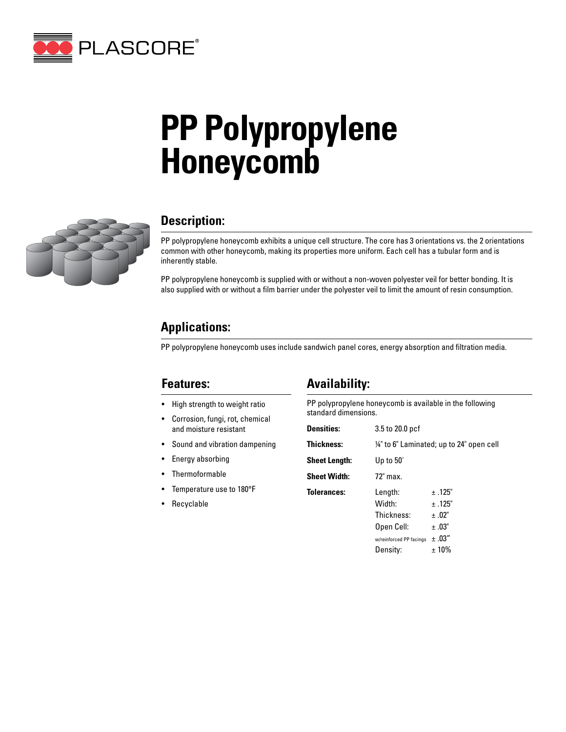

# **PP Polypropylene Honeycomb**



## **Description:**

PP polypropylene honeycomb exhibits a unique cell structure. The core has 3 orientations vs. the 2 orientations common with other honeycomb, making its properties more uniform. Each cell has a tubular form and is inherently stable.

PP polypropylene honeycomb is supplied with or without a non-woven polyester veil for better bonding. It is also supplied with or without a film barrier under the polyester veil to limit the amount of resin consumption.

# **Applications:**

PP polypropylene honeycomb uses include sandwich panel cores, energy absorption and filtration media.

### **Features:**

- High strength to weight ratio
- Corrosion, fungi, rot, chemical and moisture resistant
- Sound and vibration dampening
- Energy absorbing
- Thermoformable
- Temperature use to 180°F
- Recyclable

### **Availability:**

PP polypropylene honeycomb is available in the following standard dimensions.

| <b>Densities:</b>    | 3.5 to 20.0 pcf                                                                      |                                                           |  |  |  |  |  |  |  |
|----------------------|--------------------------------------------------------------------------------------|-----------------------------------------------------------|--|--|--|--|--|--|--|
| <b>Thickness:</b>    | 1/4" to 6" Laminated; up to 24" open cell                                            |                                                           |  |  |  |  |  |  |  |
| <b>Sheet Length:</b> | Up to $50'$                                                                          |                                                           |  |  |  |  |  |  |  |
| <b>Sheet Width:</b>  | $72$ " max.                                                                          |                                                           |  |  |  |  |  |  |  |
| <b>Tolerances:</b>   | Length:<br>Width:<br>Thickness:<br>Open Cell:<br>w/reinforced PP facings<br>Density: | ±.125"<br>$+ .125"$<br>±.02"<br>±.03"<br>±.03"<br>$±10\%$ |  |  |  |  |  |  |  |